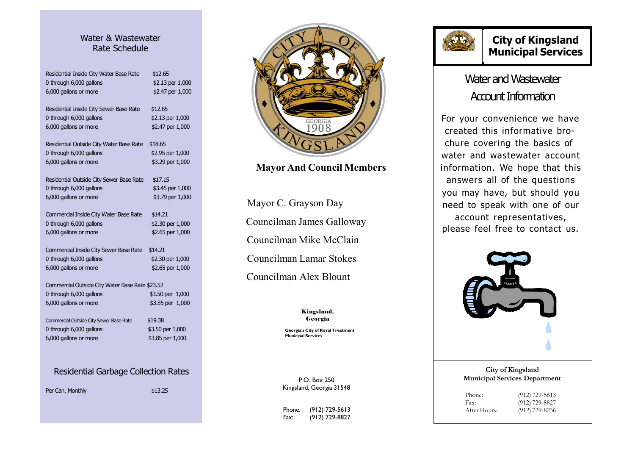#### Water & Wastewater Rate Schedule

| Residential Inside City Water Base Rate<br>0 through 6,000 gallons<br>6,000 gallons or more | \$12.65<br>\$2.13 per 1,000<br>\$2.47 per 1,000 |
|---------------------------------------------------------------------------------------------|-------------------------------------------------|
| Residential Inside City Sewer Base Rate                                                     | \$12.65                                         |
| 0 through 6,000 gallons                                                                     | \$2.13 per 1,000                                |
| 6,000 gallons or more                                                                       | \$2.47 per 1,000                                |
| Residential Outside City Water Base Rate                                                    | \$18.65                                         |
| 0 through 6,000 gallons                                                                     | \$2.95 per 1,000                                |
| 6,000 gallons or more                                                                       | \$3.29 per 1,000                                |
| Residential Outside City Sewer Base Rate                                                    | \$17.15                                         |
| 0 through 6,000 gallons                                                                     | \$3.45 per 1,000                                |
| 6,000 gallons or more                                                                       | \$3.79 per 1,000                                |
| Commercial Inside City Water Base Rate                                                      | \$14.21                                         |
| 0 through 6,000 gallons                                                                     | \$2.30 per 1,000                                |
| 6,000 gallons or more                                                                       | \$2.65 per 1,000                                |
| Commercial Inside City Sewer Base Rate                                                      | \$14.21                                         |
| 0 through 6,000 gallons                                                                     | \$2.30 per 1,000                                |
| 6,000 gallons or more                                                                       | \$2.65 per 1,000                                |
| Commercial Outside City Water Base Rate \$23.52                                             |                                                 |
| 0 through 6,000 gallons                                                                     | \$3.50 per 1,000                                |
| 6,000 gallons or more                                                                       | \$3.85 per 1,000                                |
| Commercial Outside City Sewer Base Rate                                                     | \$19.38                                         |
| 0 through 6,000 gallons                                                                     | \$3.50 per 1,000                                |
| 6,000 gallons or more                                                                       | \$3.85 per 1,000                                |
|                                                                                             |                                                 |

#### Residential Garbage Collection Rates

Per Can, Monthly

\$13.25



### Mayor And Council Members

Mayor C. Grayson Day Councilman James Galloway Councilman Mike McClain Councilman Lamar Stokes Councilman Alex Blount

> Kingsland,Georgia

Georgia's City of Royal TreatmentMunicipal Services

P.O. Box 250 Kingsland, Georgia 31548

Phone: (912) 729-5613 Fax: (912) 729-8827

### City of KingslandMunicipal Services

## Water and Wastewater Account Information

For your convenience we have created this informative brochure covering the basics of water and wastewater accountinformation. We hope that this answers all of the questions you may have, but should you need to speak with one of ouraccount representatives, please feel free to contact us.



#### City of Kingsland Municipal Services Department

Phone: (912) 729-5613 (912) 729-8827Fax: Hours: (912) 729-8236After Hours: